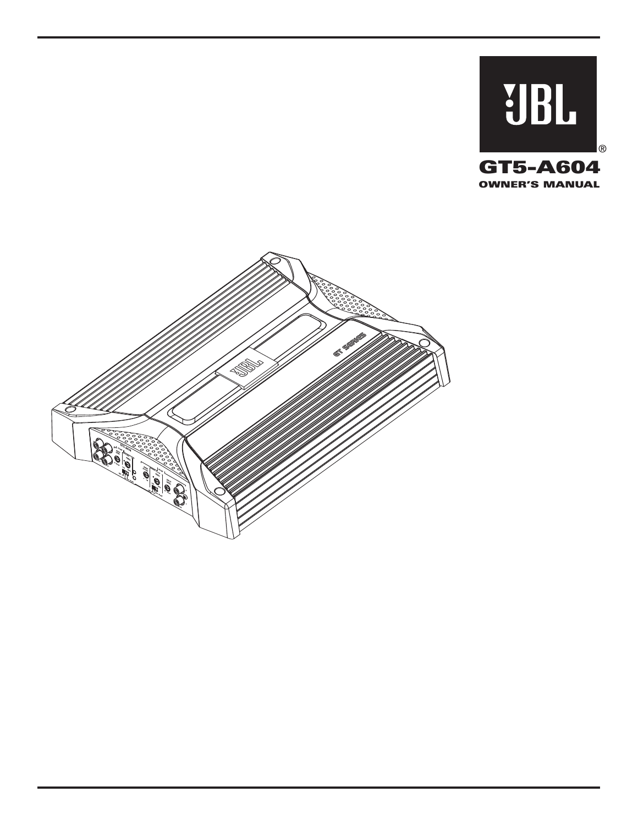

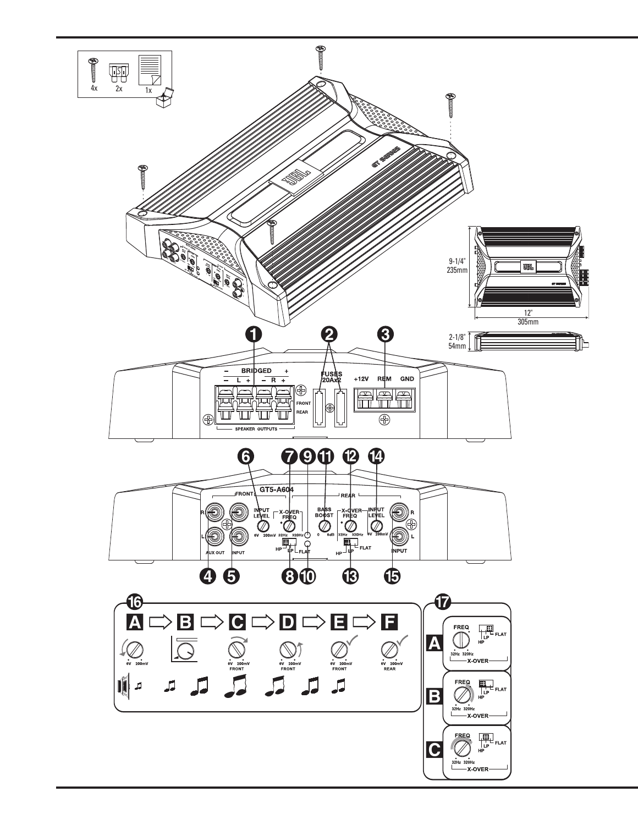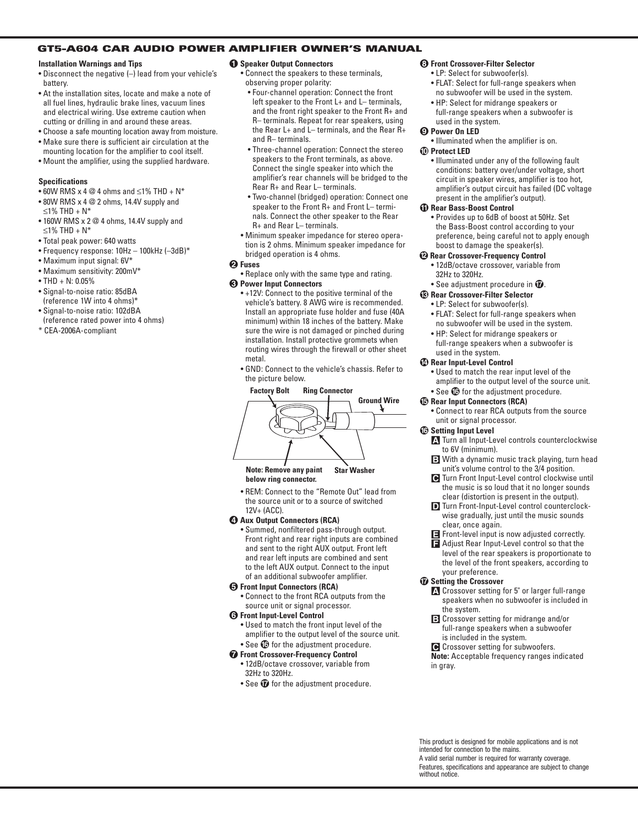# **GT5-A604 CAR AUDIO POWER AMPLIFIER OWNER'S MANUAL**

### **Installation Warnings and Tips**

- Disconnect the negative (–) lead from your vehicle's battery.
- At the installation sites, locate and make a note of all fuel lines, hydraulic brake lines, vacuum lines and electrical wiring. Use extreme caution when cutting or drilling in and around these areas.
- Choose a safe mounting location away from moisture.
- Make sure there is sufficient air circulation at the mounting location for the amplifier to cool itself.
- Mount the amplifier, using the supplied hardware.

## **Specifications**

- $\bullet$  60W RMS x 4 @ 4 ohms and ≤1% THD + N\*
- 80W RMS x 4 @ 2 ohms, 14.4V supply and  $≤1\%$  THD +  $N*$
- 160W RMS x 2 @ 4 ohms, 14.4V supply and  $≤1\%$  THD + N<sup>\*</sup>
- Total peak power: 640 watts
- Frequency response: 10Hz 100kHz (–3dB)\*
- Maximum input signal: 6V\*
- Maximum sensitivity: 200mV\*
- THD +  $N: 0.05\%$
- Signal-to-noise ratio: 85dBA (reference 1W into 4 ohms)\*
- Signal-to-noise ratio: 102dBA (reference rated power into 4 ohms)
- \* CEA-2006A-compliant

## 0 **Speaker Output Connectors**

- Connect the speakers to these terminals, observing proper polarity:
	- Four-channel operation: Connect the front left speaker to the Front L+ and L– terminals, and the front right speaker to the Front R+ and R– terminals. Repeat for rear speakers, using the Rear L+ and L– terminals, and the Rear R+ and R– terminals.
- Three-channel operation: Connect the stereo speakers to the Front terminals, as above. Connect the single speaker into which the amplifier's rear channels will be bridged to the Rear R+ and Rear L– terminals.
- Two-channel (bridged) operation: Connect one speaker to the Front R+ and Front L– terminals. Connect the other speaker to the Rear R+ and Rear L– terminals.
- Minimum speaker impedance for stereo operation is 2 ohms. Minimum speaker impedance for bridged operation is 4 ohms.

## 1 **Fuses**

- Replace only with the same type and rating. 2 **Power Input Connectors**
- +12V: Connect to the positive terminal of the vehicle's battery. 8 AWG wire is recommended. Install an appropriate fuse holder and fuse (40A minimum) within 18 inches of the battery. Make sure the wire is not damaged or pinched during installation. Install protective grommets when routing wires through the firewall or other sheet metal. **Factor**<br>**Factor**<br>**Factor**<br>**Factor**<br>**Factor**<br>**Factor**<br>**Factor**<br>**Factor**<br>**Factor**<br>**Factor**<br>**Factor**<br>**Factor**<br>**Factor**<br>**Factor**<br>**Factor**<br>**Factor**<br>**Factor**<br>**Factor**<br>**Factor**<br>**Factor**<br>**Factor**<br>**Factor**<br>**Factor**<br>**Factor**<br>**Facto** 
	- GND: Connect to the vehicle's chassis. Refer to the picture below.



**Note: Remove any paint below ring connector. Star Washer**

• REM: Connect to the "Remote Out" lead from the source unit or to a source of switched 12V+ (ACC).

# **43 Aux Output Connectors (RCA)**

• Summed, nonfiltered pass-through output. Front right and rear right inputs are combined and sent to the right AUX output. Front left and rear left inputs are combined and sent to the left AUX output. Connect to the input of an additional subwoofer amplifier.

#### 4 **Front Input Connectors (RCA)**

• Connect to the front RCA outputs from the source unit or signal processor.

## 5 **Front Input-Level Control**

- Used to match the front input level of the amplifier to the output level of the source unit.
- See  $\bullet$  for the adjustment procedure. 6 **Front Crossover-Frequency Control**
	- 12dB/octave crossover, variable from 32Hz to 320Hz.
	- See  $\Phi$  for the adjustment procedure.

# 7 **Front Crossover-Filter Selector**

- LP: Select for subwoofer(s).
- FLAT: Select for full-range speakers when no subwoofer will be used in the system.
- HP: Select for midrange speakers or full-range speakers when a subwoofer is used in the system.

#### 8 **Power On LED**

• Illuminated when the amplifier is on.

## 9 **Protect LED**

• Illuminated under any of the following fault conditions: battery over/under voltage, short circuit in speaker wires, amplifier is too hot, amplifier's output circuit has failed (DC voltage present in the amplifier's output).

#### A **Rear Bass-Boost Control**

• Provides up to 6dB of boost at 50Hz. Set the Bass-Boost control according to your preference, being careful not to apply enough boost to damage the speaker(s).

#### B **Rear Crossover-Frequency Control**

- 12dB/octave crossover, variable from 32Hz to 320Hz.
- See adjustment procedure in  $\mathcal D$ .

# C **Rear Crossover-Filter Selector**

- LP: Select for subwoofer(s).
- FLAT: Select for full-range speakers when no subwoofer will be used in the system.
- HP: Select for midrange speakers or full-range speakers when a subwoofer is used in the system.

#### D **Rear Input-Level Control**

- Used to match the rear input level of the amplifier to the output level of the source unit.
- See  $\textcircled{\tiny{\textbf{D}}}$  for the adjustment procedure.

# E **Rear Input Connectors (RCA)**

• Connect to rear RCA outputs from the source unit or signal processor.

# $\circledR$  Setting Input Level

- **A** Turn all Input-Level controls counterclockwise to 6V (minimum).
- **B** With a dynamic music track playing, turn head unit's volume control to the 3/4 position.
- **C** Turn Front Input-Level control clockwise until the music is so loud that it no longer sounds clear (distortion is present in the output).
- **D** Turn Front-Input-Level control counterclockwise gradually, just until the music sounds clear, once again.
- **E** Front-level input is now adjusted correctly.
- **F** Adjust Rear Input-Level control so that the level of the rear speakers is proportionate to the level of the front speakers, according to your preference.

# G **Setting the Crossover**

- **A** Crossover setting for 5" or larger full-range speakers when no subwoofer is included in the system.
- **B** Crossover setting for midrange and/or full-range speakers when a subwoofer is included in the system.
- **C** Crossover setting for subwoofers.

**Note:** Acceptable frequency ranges indicated in gray.

This product is designed for mobile applications and is not intended for connection to the mains. A valid serial number is required for warranty coverage. Features, specifications and appearance are subject to change without notice.